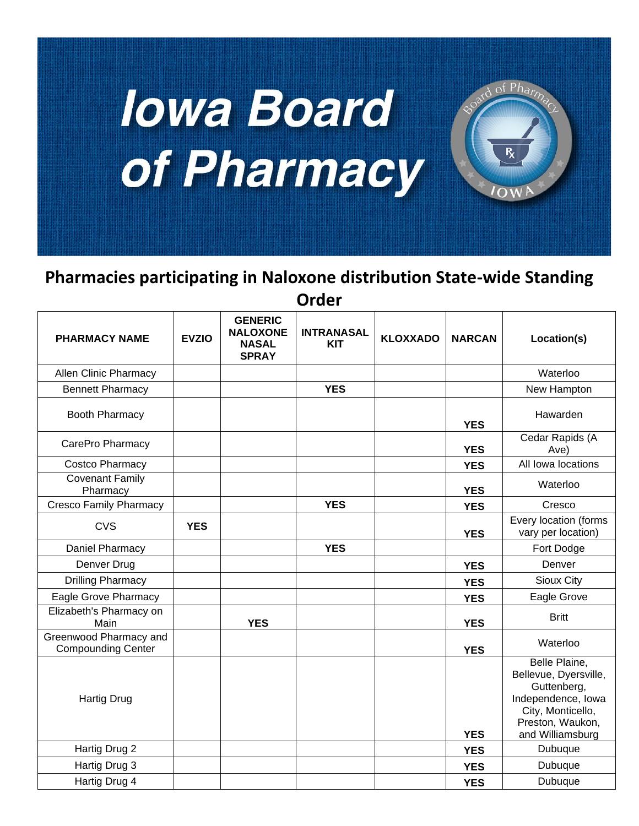

## **Pharmacies participating in Naloxone distribution State-wide Standing Order**

| <b>PHARMACY NAME</b>                                | <b>EVZIO</b> | <b>GENERIC</b><br><b>NALOXONE</b><br><b>NASAL</b><br><b>SPRAY</b> | <b>INTRANASAL</b><br><b>KIT</b> | <b>KLOXXADO</b> | <b>NARCAN</b> | Location(s)                                                                                                                              |
|-----------------------------------------------------|--------------|-------------------------------------------------------------------|---------------------------------|-----------------|---------------|------------------------------------------------------------------------------------------------------------------------------------------|
| Allen Clinic Pharmacy                               |              |                                                                   |                                 |                 |               | Waterloo                                                                                                                                 |
| <b>Bennett Pharmacy</b>                             |              |                                                                   | <b>YES</b>                      |                 |               | New Hampton                                                                                                                              |
| <b>Booth Pharmacy</b>                               |              |                                                                   |                                 |                 | <b>YES</b>    | Hawarden                                                                                                                                 |
| CarePro Pharmacy                                    |              |                                                                   |                                 |                 | <b>YES</b>    | Cedar Rapids (A<br>Ave)                                                                                                                  |
| Costco Pharmacy                                     |              |                                                                   |                                 |                 | <b>YES</b>    | All lowa locations                                                                                                                       |
| Covenant Family<br>Pharmacy                         |              |                                                                   |                                 |                 | <b>YES</b>    | Waterloo                                                                                                                                 |
| <b>Cresco Family Pharmacy</b>                       |              |                                                                   | <b>YES</b>                      |                 | <b>YES</b>    | Cresco                                                                                                                                   |
| <b>CVS</b>                                          | <b>YES</b>   |                                                                   |                                 |                 | <b>YES</b>    | Every location (forms<br>vary per location)                                                                                              |
| Daniel Pharmacy                                     |              |                                                                   | <b>YES</b>                      |                 |               | Fort Dodge                                                                                                                               |
| Denver Drug                                         |              |                                                                   |                                 |                 | <b>YES</b>    | Denver                                                                                                                                   |
| <b>Drilling Pharmacy</b>                            |              |                                                                   |                                 |                 | <b>YES</b>    | Sioux City                                                                                                                               |
| Eagle Grove Pharmacy                                |              |                                                                   |                                 |                 | <b>YES</b>    | Eagle Grove                                                                                                                              |
| Elizabeth's Pharmacy on<br>Main                     |              | <b>YES</b>                                                        |                                 |                 | <b>YES</b>    | <b>Britt</b>                                                                                                                             |
| Greenwood Pharmacy and<br><b>Compounding Center</b> |              |                                                                   |                                 |                 | <b>YES</b>    | Waterloo                                                                                                                                 |
| <b>Hartig Drug</b>                                  |              |                                                                   |                                 |                 | <b>YES</b>    | Belle Plaine,<br>Bellevue, Dyersville,<br>Guttenberg,<br>Independence, lowa<br>City, Monticello,<br>Preston, Waukon,<br>and Williamsburg |
| Hartig Drug 2                                       |              |                                                                   |                                 |                 | <b>YES</b>    | Dubuque                                                                                                                                  |
| Hartig Drug 3                                       |              |                                                                   |                                 |                 | <b>YES</b>    | Dubuque                                                                                                                                  |
| Hartig Drug 4                                       |              |                                                                   |                                 |                 | <b>YES</b>    | Dubuque                                                                                                                                  |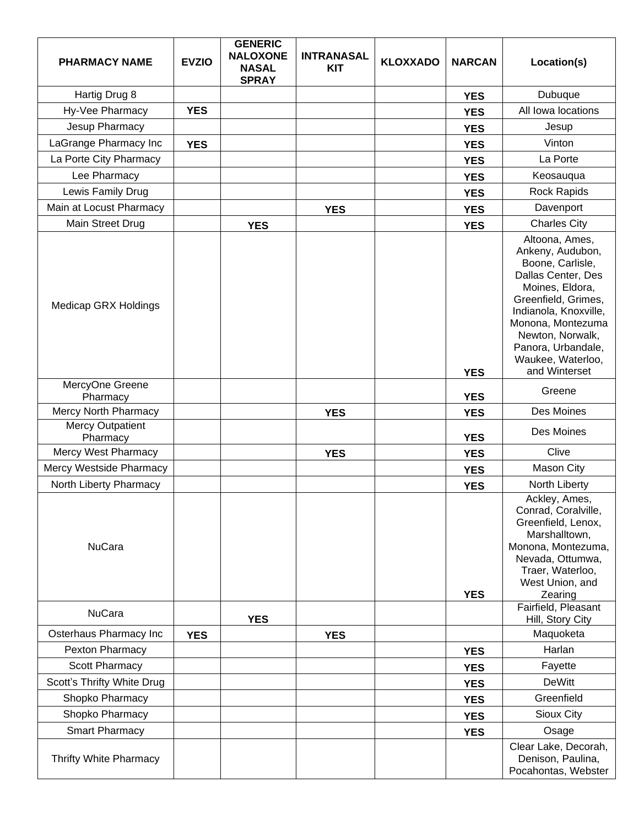| <b>PHARMACY NAME</b>                | <b>EVZIO</b> | <b>GENERIC</b><br><b>NALOXONE</b><br><b>NASAL</b><br><b>SPRAY</b> | <b>INTRANASAL</b><br><b>KIT</b> | <b>KLOXXADO</b> | <b>NARCAN</b> | Location(s)                                                                                                                                                                                                                                          |
|-------------------------------------|--------------|-------------------------------------------------------------------|---------------------------------|-----------------|---------------|------------------------------------------------------------------------------------------------------------------------------------------------------------------------------------------------------------------------------------------------------|
| Hartig Drug 8                       |              |                                                                   |                                 |                 | <b>YES</b>    | Dubuque                                                                                                                                                                                                                                              |
| Hy-Vee Pharmacy                     | <b>YES</b>   |                                                                   |                                 |                 | <b>YES</b>    | All lowa locations                                                                                                                                                                                                                                   |
| Jesup Pharmacy                      |              |                                                                   |                                 |                 | <b>YES</b>    | Jesup                                                                                                                                                                                                                                                |
| LaGrange Pharmacy Inc               | <b>YES</b>   |                                                                   |                                 |                 | <b>YES</b>    | Vinton                                                                                                                                                                                                                                               |
| La Porte City Pharmacy              |              |                                                                   |                                 |                 | <b>YES</b>    | La Porte                                                                                                                                                                                                                                             |
| Lee Pharmacy                        |              |                                                                   |                                 |                 | <b>YES</b>    | Keosauqua                                                                                                                                                                                                                                            |
| Lewis Family Drug                   |              |                                                                   |                                 |                 | <b>YES</b>    | Rock Rapids                                                                                                                                                                                                                                          |
| Main at Locust Pharmacy             |              |                                                                   | <b>YES</b>                      |                 | <b>YES</b>    | Davenport                                                                                                                                                                                                                                            |
| Main Street Drug                    |              | <b>YES</b>                                                        |                                 |                 | <b>YES</b>    | <b>Charles City</b>                                                                                                                                                                                                                                  |
| <b>Medicap GRX Holdings</b>         |              |                                                                   |                                 |                 | <b>YES</b>    | Altoona, Ames,<br>Ankeny, Audubon,<br>Boone, Carlisle,<br>Dallas Center, Des<br>Moines, Eldora,<br>Greenfield, Grimes,<br>Indianola, Knoxville,<br>Monona, Montezuma<br>Newton, Norwalk,<br>Panora, Urbandale,<br>Waukee, Waterloo,<br>and Winterset |
| MercyOne Greene<br>Pharmacy         |              |                                                                   |                                 |                 | <b>YES</b>    | Greene                                                                                                                                                                                                                                               |
| Mercy North Pharmacy                |              |                                                                   | <b>YES</b>                      |                 | <b>YES</b>    | Des Moines                                                                                                                                                                                                                                           |
| <b>Mercy Outpatient</b><br>Pharmacy |              |                                                                   |                                 |                 | <b>YES</b>    | Des Moines                                                                                                                                                                                                                                           |
| Mercy West Pharmacy                 |              |                                                                   | <b>YES</b>                      |                 | <b>YES</b>    | Clive                                                                                                                                                                                                                                                |
| Mercy Westside Pharmacy             |              |                                                                   |                                 |                 | <b>YES</b>    | Mason City                                                                                                                                                                                                                                           |
| North Liberty Pharmacy              |              |                                                                   |                                 |                 | <b>YES</b>    | North Liberty                                                                                                                                                                                                                                        |
| <b>NuCara</b>                       |              |                                                                   |                                 |                 | <b>YES</b>    | Ackley, Ames,<br>Conrad, Coralville,<br>Greenfield, Lenox,<br>Marshalltown,<br>Monona, Montezuma,<br>Nevada, Ottumwa,<br>Traer, Waterloo,<br>West Union, and<br>Zearing                                                                              |
| <b>NuCara</b>                       |              | <b>YES</b>                                                        |                                 |                 |               | Fairfield, Pleasant<br>Hill, Story City                                                                                                                                                                                                              |
| Osterhaus Pharmacy Inc              | <b>YES</b>   |                                                                   | <b>YES</b>                      |                 |               | Maquoketa                                                                                                                                                                                                                                            |
| Pexton Pharmacy                     |              |                                                                   |                                 |                 | <b>YES</b>    | Harlan                                                                                                                                                                                                                                               |
| Scott Pharmacy                      |              |                                                                   |                                 |                 | <b>YES</b>    | Fayette                                                                                                                                                                                                                                              |
| Scott's Thrifty White Drug          |              |                                                                   |                                 |                 | <b>YES</b>    | <b>DeWitt</b>                                                                                                                                                                                                                                        |
| Shopko Pharmacy                     |              |                                                                   |                                 |                 | <b>YES</b>    | Greenfield                                                                                                                                                                                                                                           |
| Shopko Pharmacy                     |              |                                                                   |                                 |                 | <b>YES</b>    | Sioux City                                                                                                                                                                                                                                           |
| <b>Smart Pharmacy</b>               |              |                                                                   |                                 |                 | <b>YES</b>    | Osage                                                                                                                                                                                                                                                |
| Thrifty White Pharmacy              |              |                                                                   |                                 |                 |               | Clear Lake, Decorah,<br>Denison, Paulina,<br>Pocahontas, Webster                                                                                                                                                                                     |